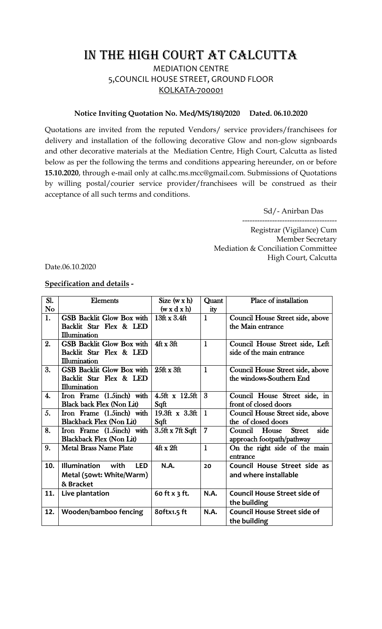## IN THE HIGH COURT AT CALCUTTA

MEDIATION CENTRE 5,COUNCIL HOUSE STREET, GROUND FLOOR KOLKATA-700001

## **Notice Inviting Quotation No. Med/MS/180/2020 Dated. 06.10.2020**

Quotations are invited from the reputed Vendors/ service providers/franchisees for delivery and installation of the following decorative Glow and non-glow signboards and other decorative materials at the Mediation Centre, High Court, Calcutta as listed below as per the following the terms and conditions appearing hereunder, on or before **15.10.2020**, through e-mail only at calhc.ms.mcc@gmail.com. Submissions of Quotations by willing postal/courier service provider/franchisees will be construed as their acceptance of all such terms and conditions.

Sd/- Anirban Das

-------------------------------------- Registrar (Vigilance) Cum Member Secretary Mediation & Conciliation Committee High Court, Calcutta

Date.06.10.2020

## **Specification and details -**

| Sl.                | <b>Elements</b>                           | Size $(w \times h)$     | Quant          | Place of installation                  |
|--------------------|-------------------------------------------|-------------------------|----------------|----------------------------------------|
| N <sub>o</sub>     |                                           | $(w \times d \times h)$ | ity            |                                        |
| 1.                 | GSB Backlit Glow Box with                 | 13ft x 3.4ft            | $\mathbf{1}$   | Council House Street side, above       |
|                    | Backlit Star Flex & LED                   |                         |                | the Main entrance                      |
|                    | Illumination                              |                         |                |                                        |
| 2.                 | <b>GSB Backlit Glow Box with</b>          | $4ft \times 3ft$        | $\mathbf{1}$   | Council House Street side, Left        |
|                    | Backlit Star Flex & LED                   |                         |                | side of the main entrance              |
|                    | Illumination                              |                         |                |                                        |
| 3.                 | <b>GSB Backlit Glow Box with</b>          | $25$ ft x 3ft           | $\mathbf{1}$   | Council House Street side, above       |
|                    | Backlit Star Flex & LED                   |                         |                | the windows-Southern End               |
|                    | Illumination                              |                         |                |                                        |
| $\boldsymbol{4}$ . | Iron Frame (1.5inch) with                 | $4.5$ ft x $12.5$ ft    | $\overline{3}$ | Council House Street side, in          |
|                    | <b>Black back Flex (Non Lit)</b>          | Sqft                    |                | front of closed doors                  |
| 5.                 | Iron Frame (1.5inch) with                 | $19.3$ ft x 3.3ft       | $\mathbf{1}$   | Council House Street side, above       |
|                    | <b>Blackback Flex (Non Lit)</b>           | Sqft                    |                | the of closed doors                    |
| 8.                 | Iron Frame (1.5inch) with                 | 3.5ft x 7ft Sqft        | 7              | side<br><b>Street</b><br>Council House |
|                    | <b>Blackback Flex (Non Lit)</b>           |                         |                | approach footpath/pathway              |
| 9.                 | <b>Metal Brass Name Plate</b>             | 4ftx2ft                 | $\mathbf{1}$   | On the right side of the main          |
|                    |                                           |                         |                | entrance                               |
| 10.                | <b>Illumination</b><br>with<br><b>LED</b> | N.A.                    | 20             | Council House Street side as           |
|                    | Metal (50wt: White/Warm)                  |                         |                | and where installable                  |
|                    | & Bracket                                 |                         |                |                                        |
| 11.                | Live plantation                           | 60 ft x 3 ft.           | N.A.           | <b>Council House Street side of</b>    |
|                    |                                           |                         |                | the building                           |
| 12.                | Wooden/bamboo fencing                     | 8oftx1.5 ft             | N.A.           | <b>Council House Street side of</b>    |
|                    |                                           |                         |                | the building                           |
|                    |                                           |                         |                |                                        |